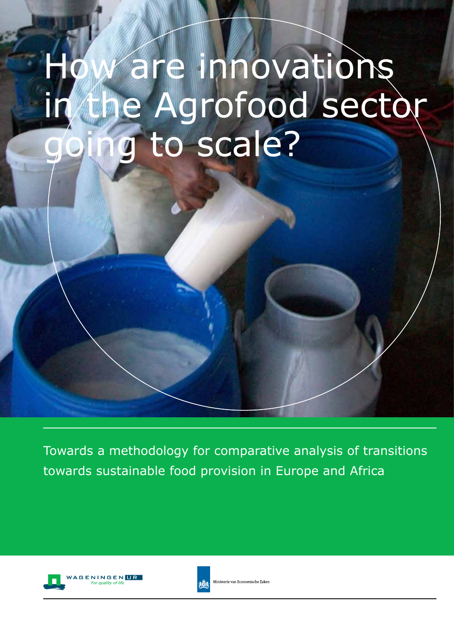# How are innovations in the Agrofood sector going to scale?

Towards a methodology for comparative analysis of transitions towards sustainable food provision in Europe and Africa





.<br>Ministerie van Economische Zaker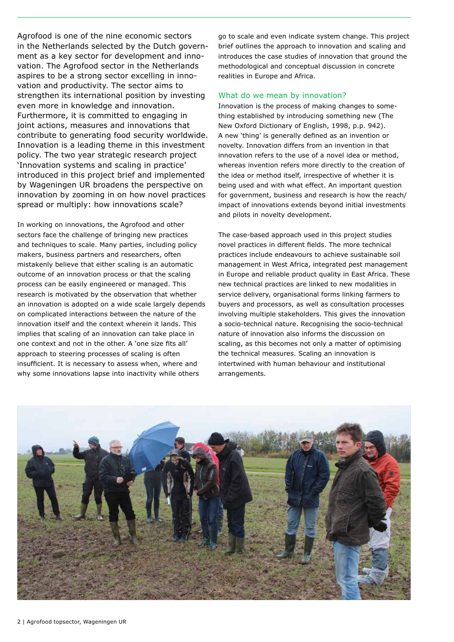Agrofood is one of the nine economic sectors in the Netherlands selected by the Dutch government as a key sector for development and innovation. The Agrofood sector in the Netherlands aspires to be a strong sector excelling in innovation and productivity. The sector aims to strengthen its international position by investing even more in knowledge and innovation. Furthermore, it is committed to engaging in joint actions, measures and innovations that contribute to generating food security worldwide. Innovation is a leading theme in this investment policy. The two year strategic research project 'Innovation systems and scaling in practice' introduced in this project brief and implemented by Wageningen UR broadens the perspective on innovation by zooming in on how novel practices spread or multiply: how innovations scale?

In working on innovations, the Agrofood and other sectors face the challenge of bringing new practices and techniques to scale. Many parties, including policy makers, business partners and researchers, often mistakenly believe that either scaling is an automatic outcome of an innovation process or that the scaling process can be easily engineered or managed. This research is motivated by the observation that whether an innovation is adopted on a wide scale largely depends on complicated interactions between the nature of the innovation itself and the context wherein it lands. This implies that scaling of an innovation can take place in one context and not in the other. A 'one size fits all' approach to steering processes of scaling is often insufficient. It is necessary to assess when, where and why some innovations lapse into inactivity while others

go to scale and even indicate system change. This project brief outlines the approach to innovation and scaling and introduces the case studies of innovation that ground the methodological and conceptual discussion in concrete realities in Europe and Africa.

#### What do we mean by innovation?

Innovation is the process of making changes to something established by introducing something new (The New Oxford Dictionary of English, 1998, p.p. 942). A new 'thing' is generally defined as an invention or novelty. Innovation differs from an invention in that innovation refers to the use of a novel idea or method, whereas invention refers more directly to the creation of the idea or method itself, irrespective of whether it is being used and with what effect. An important question for government, business and research is how the reach/ impact of innovations extends beyond initial investments and pilots in novelty development.

The case-based approach used in this project studies novel practices in different fields. The more technical practices include endeavours to achieve sustainable soil management in West Africa, integrated pest management in Europe and reliable product quality in East Africa. These new technical practices are linked to new modalities in service delivery, organisational forms linking farmers to buyers and processors, as well as consultation processes involving multiple stakeholders. This gives the innovation a socio-technical nature. Recognising the socio-technical nature of innovation also informs the discussion on scaling, as this becomes not only a matter of optimising the technical measures. Scaling an innovation is intertwined with human behaviour and institutional arrangements.

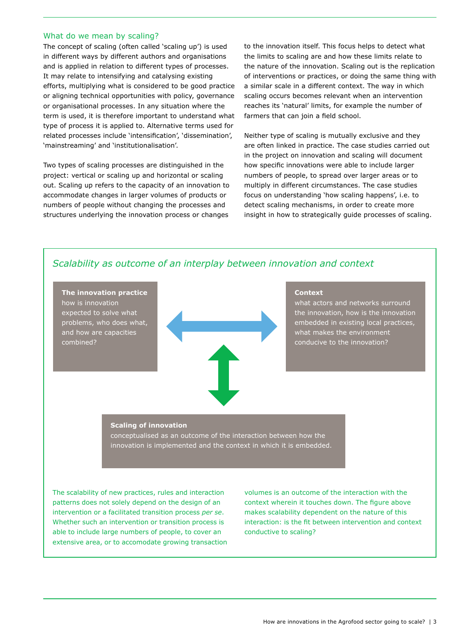### What do we mean by scaling?

The concept of scaling (often called 'scaling up') is used in different ways by different authors and organisations and is applied in relation to different types of processes. It may relate to intensifying and catalysing existing efforts, multiplying what is considered to be good practice or aligning technical opportunities with policy, governance or organisational processes. In any situation where the term is used, it is therefore important to understand what type of process it is applied to. Alternative terms used for related processes include 'intensification', 'dissemination', 'mainstreaming' and 'institutionalisation'.

Two types of scaling processes are distinguished in the project: vertical or scaling up and horizontal or scaling out. Scaling up refers to the capacity of an innovation to accommodate changes in larger volumes of products or numbers of people without changing the processes and structures underlying the innovation process or changes

to the innovation itself. This focus helps to detect what the limits to scaling are and how these limits relate to the nature of the innovation. Scaling out is the replication of interventions or practices, or doing the same thing with a similar scale in a different context. The way in which scaling occurs becomes relevant when an intervention reaches its 'natural' limits, for example the number of farmers that can join a field school.

Neither type of scaling is mutually exclusive and they are often linked in practice. The case studies carried out in the project on innovation and scaling will document how specific innovations were able to include larger numbers of people, to spread over larger areas or to multiply in different circumstances. The case studies focus on understanding 'how scaling happens', i.e. to detect scaling mechanisms, in order to create more insight in how to strategically guide processes of scaling.



The scalability of new practices, rules and interaction patterns does not solely depend on the design of an intervention or a facilitated transition process *per se*. Whether such an intervention or transition process is able to include large numbers of people, to cover an extensive area, or to accomodate growing transaction volumes is an outcome of the interaction with the context wherein it touches down. The figure above makes scalability dependent on the nature of this interaction: is the fit between intervention and context conductive to scaling?

## *Scalability as outcome of an interplay between innovation and context*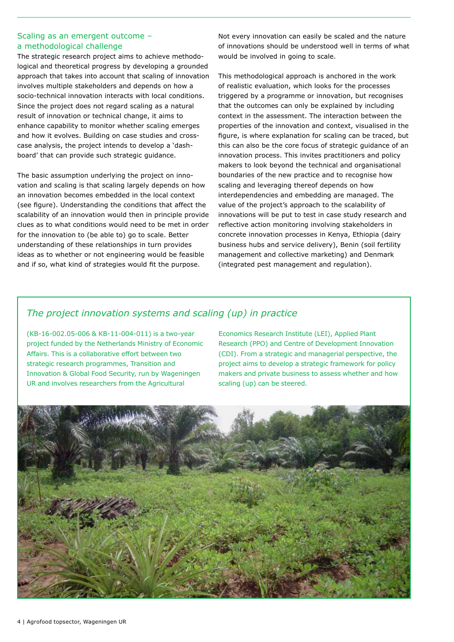## Scaling as an emergent outcome – a methodological challenge

The strategic research project aims to achieve methodological and theoretical progress by developing a grounded approach that takes into account that scaling of innovation involves multiple stakeholders and depends on how a socio-technical innovation interacts with local conditions. Since the project does not regard scaling as a natural result of innovation or technical change, it aims to enhance capability to monitor whether scaling emerges and how it evolves. Building on case studies and crosscase analysis, the project intends to develop a 'dashboard' that can provide such strategic guidance.

The basic assumption underlying the project on innovation and scaling is that scaling largely depends on how an innovation becomes embedded in the local context (see figure). Understanding the conditions that affect the scalability of an innovation would then in principle provide clues as to what conditions would need to be met in order for the innovation to (be able to) go to scale. Better understanding of these relationships in turn provides ideas as to whether or not engineering would be feasible and if so, what kind of strategies would fit the purpose.

Not every innovation can easily be scaled and the nature of innovations should be understood well in terms of what would be involved in going to scale.

This methodological approach is anchored in the work of realistic evaluation, which looks for the processes triggered by a programme or innovation, but recognises that the outcomes can only be explained by including context in the assessment. The interaction between the properties of the innovation and context, visualised in the figure, is where explanation for scaling can be traced, but this can also be the core focus of strategic guidance of an innovation process. This invites practitioners and policy makers to look beyond the technical and organisational boundaries of the new practice and to recognise how scaling and leveraging thereof depends on how interdependencies and embedding are managed. The value of the project's approach to the scalability of innovations will be put to test in case study research and reflective action monitoring involving stakeholders in concrete innovation processes in Kenya, Ethiopia (dairy business hubs and service delivery), Benin (soil fertility management and collective marketing) and Denmark (integrated pest management and regulation).

## *The project innovation systems and scaling (up) in practice*

(KB-16-002.05-006 & KB-11-004-011) is a two-year project funded by the Netherlands Ministry of Economic Affairs. This is a collaborative effort between two strategic research programmes, Transition and Innovation & Global Food Security, run by Wageningen UR and involves researchers from the Agricultural

Economics Research Institute (LEI), Applied Plant Research (PPO) and Centre of Development Innovation (CDI). From a strategic and managerial perspective, the project aims to develop a strategic framework for policy makers and private business to assess whether and how scaling (up) can be steered.

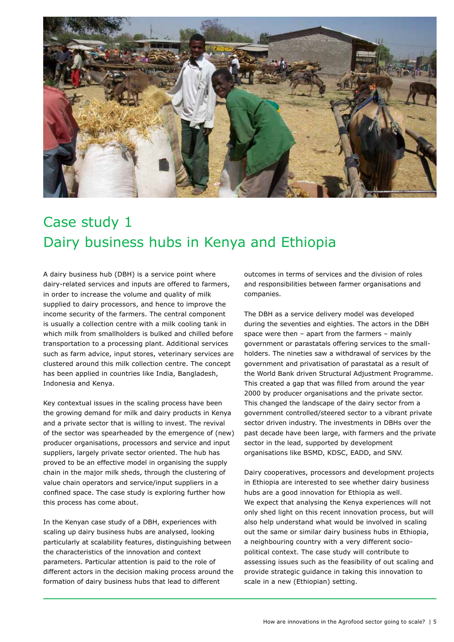

# Case study 1 Dairy business hubs in Kenya and Ethiopia

A dairy business hub (DBH) is a service point where dairy-related services and inputs are offered to farmers, in order to increase the volume and quality of milk supplied to dairy processors, and hence to improve the income security of the farmers. The central component is usually a collection centre with a milk cooling tank in which milk from smallholders is bulked and chilled before transportation to a processing plant. Additional services such as farm advice, input stores, veterinary services are clustered around this milk collection centre. The concept has been applied in countries like India, Bangladesh, Indonesia and Kenya.

Key contextual issues in the scaling process have been the growing demand for milk and dairy products in Kenya and a private sector that is willing to invest. The revival of the sector was spearheaded by the emergence of (new) producer organisations, processors and service and input suppliers, largely private sector oriented. The hub has proved to be an effective model in organising the supply chain in the major milk sheds, through the clustering of value chain operators and service/input suppliers in a confined space. The case study is exploring further how this process has come about.

In the Kenyan case study of a DBH, experiences with scaling up dairy business hubs are analysed, looking particularly at scalability features, distinguishing between the characteristics of the innovation and context parameters. Particular attention is paid to the role of different actors in the decision making process around the formation of dairy business hubs that lead to different

outcomes in terms of services and the division of roles and responsibilities between farmer organisations and companies.

The DBH as a service delivery model was developed during the seventies and eighties. The actors in the DBH space were then – apart from the farmers – mainly government or parastatals offering services to the smallholders. The nineties saw a withdrawal of services by the government and privatisation of parastatal as a result of the World Bank driven Structural Adjustment Programme. This created a gap that was filled from around the year 2000 by producer organisations and the private sector. This changed the landscape of the dairy sector from a government controlled/steered sector to a vibrant private sector driven industry. The investments in DBHs over the past decade have been large, with farmers and the private sector in the lead, supported by development organisations like BSMD, KDSC, EADD, and SNV.

Dairy cooperatives, processors and development projects in Ethiopia are interested to see whether dairy business hubs are a good innovation for Ethiopia as well. We expect that analysing the Kenya experiences will not only shed light on this recent innovation process, but will also help understand what would be involved in scaling out the same or similar dairy business hubs in Ethiopia, a neighbouring country with a very different sociopolitical context. The case study will contribute to assessing issues such as the feasibility of out scaling and provide strategic guidance in taking this innovation to scale in a new (Ethiopian) setting.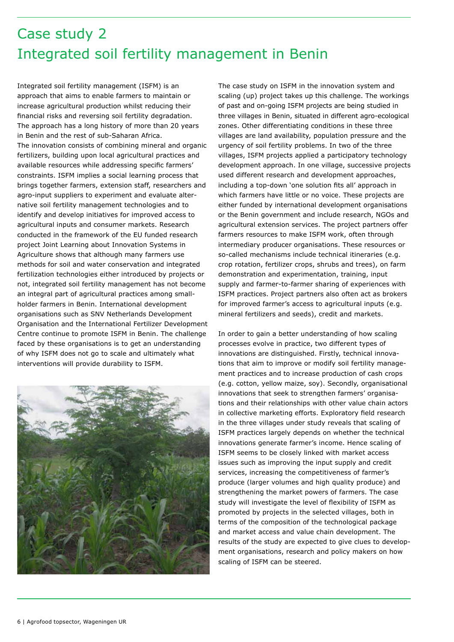# Case study 2 Integrated soil fertility management in Benin

Integrated soil fertility management (ISFM) is an approach that aims to enable farmers to maintain or increase agricultural production whilst reducing their financial risks and reversing soil fertility degradation. The approach has a long history of more than 20 years in Benin and the rest of sub-Saharan Africa. The innovation consists of combining mineral and organic fertilizers, building upon local agricultural practices and available resources while addressing specific farmers' constraints. ISFM implies a social learning process that brings together farmers, extension staff, researchers and agro-input suppliers to experiment and evaluate alternative soil fertility management technologies and to identify and develop initiatives for improved access to agricultural inputs and consumer markets. Research conducted in the framework of the EU funded research project Joint Learning about Innovation Systems in Agriculture shows that although many farmers use methods for soil and water conservation and integrated fertilization technologies either introduced by projects or not, integrated soil fertility management has not become an integral part of agricultural practices among smallholder farmers in Benin. International development organisations such as SNV Netherlands Development Organisation and the International Fertilizer Development Centre continue to promote ISFM in Benin. The challenge faced by these organisations is to get an understanding of why ISFM does not go to scale and ultimately what interventions will provide durability to ISFM.



The case study on ISFM in the innovation system and scaling (up) project takes up this challenge. The workings of past and on-going ISFM projects are being studied in three villages in Benin, situated in different agro-ecological zones. Other differentiating conditions in these three villages are land availability, population pressure and the urgency of soil fertility problems. In two of the three villages, ISFM projects applied a participatory technology development approach. In one village, successive projects used different research and development approaches, including a top-down 'one solution fits all' approach in which farmers have little or no voice. These projects are either funded by international development organisations or the Benin government and include research, NGOs and agricultural extension services. The project partners offer farmers resources to make ISFM work, often through intermediary producer organisations. These resources or so-called mechanisms include technical itineraries (e.g. crop rotation, fertilizer crops, shrubs and trees), on farm demonstration and experimentation, training, input supply and farmer-to-farmer sharing of experiences with ISFM practices. Project partners also often act as brokers for improved farmer's access to agricultural inputs (e.g. mineral fertilizers and seeds), credit and markets.

In order to gain a better understanding of how scaling processes evolve in practice, two different types of innovations are distinguished. Firstly, technical innovations that aim to improve or modify soil fertility management practices and to increase production of cash crops (e.g. cotton, yellow maize, soy). Secondly, organisational innovations that seek to strengthen farmers' organisations and their relationships with other value chain actors in collective marketing efforts. Exploratory field research in the three villages under study reveals that scaling of ISFM practices largely depends on whether the technical innovations generate farmer's income. Hence scaling of ISFM seems to be closely linked with market access issues such as improving the input supply and credit services, increasing the competitiveness of farmer's produce (larger volumes and high quality produce) and strengthening the market powers of farmers. The case study will investigate the level of flexibility of ISFM as promoted by projects in the selected villages, both in terms of the composition of the technological package and market access and value chain development. The results of the study are expected to give clues to development organisations, research and policy makers on how scaling of ISFM can be steered.